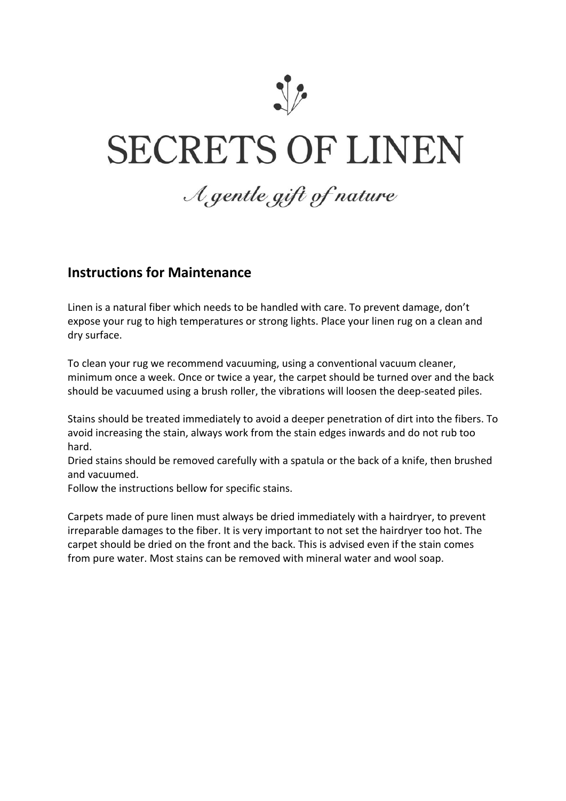

## **SECRETS OF LINEN**

## A gentle gift of nature

## **Instructions for Maintenance**

Linen is a natural fiber which needs to be handled with care. To prevent damage, don't expose your rug to high temperatures or strong lights. Place your linen rug on a clean and dry surface.

To clean your rug we recommend vacuuming, using a conventional vacuum cleaner, minimum once a week. Once or twice a year, the carpet should be turned over and the back should be vacuumed using a brush roller, the vibrations will loosen the deep-seated piles.

Stains should be treated immediately to avoid a deeper penetration of dirt into the fibers. To avoid increasing the stain, always work from the stain edges inwards and do not rub too hard.

Dried stains should be removed carefully with a spatula or the back of a knife, then brushed and vacuumed.

Follow the instructions bellow for specific stains.

Carpets made of pure linen must always be dried immediately with a hairdryer, to prevent irreparable damages to the fiber. It is very important to not set the hairdryer too hot. The carpet should be dried on the front and the back. This is advised even if the stain comes from pure water. Most stains can be removed with mineral water and wool soap.